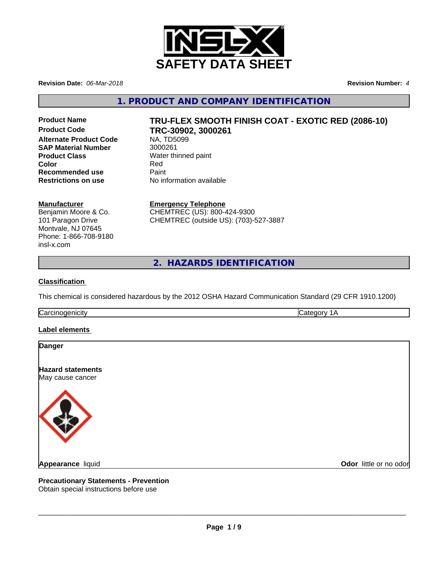

**Revision Date:** *06-Mar-2018* **Revision Number:** *4*

**1. PRODUCT AND COMPANY IDENTIFICATION**

**Product Code TRC-30902, 3000261 Alternate Product Code NA, TD5<br>
<b>SAP Material Number** 3000261 **SAP Material Number Product Class** Water thinned paint<br> **Color** Red **Color** Red **Recommended use** Paint

# **Product Name TRU-FLEX SMOOTH FINISH COAT - EXOTIC RED (2086-10)**

**Restrictions on use** No information available

#### **Manufacturer**

Benjamin Moore & Co. 101 Paragon Drive Montvale, NJ 07645 Phone: 1-866-708-9180 insl-x.com

**Emergency Telephone** CHEMTREC (US): 800-424-9300 CHEMTREC (outside US): (703)-527-3887

**2. HAZARDS IDENTIFICATION**

#### **Classification**

This chemical is considered hazardous by the 2012 OSHA Hazard Communication Standard (29 CFR 1910.1200)

Carcinogenicity **Category 1A** 

**Label elements** 



**Precautionary Statements - Prevention**

Obtain special instructions before use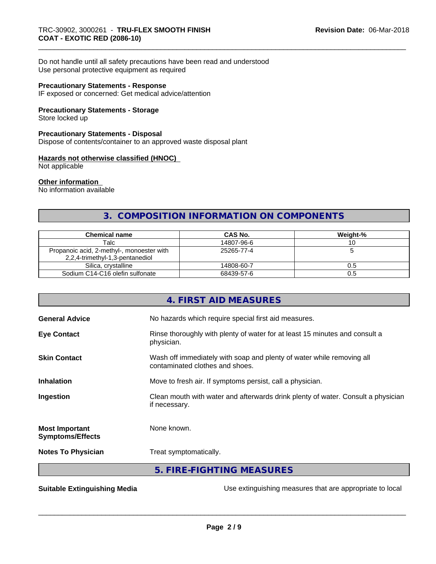Do not handle until all safety precautions have been read and understood Use personal protective equipment as required

#### **Precautionary Statements - Response**

IF exposed or concerned: Get medical advice/attention

#### **Precautionary Statements - Storage**

Store locked up

#### **Precautionary Statements - Disposal**

Dispose of contents/container to an approved waste disposal plant

#### **Hazards not otherwise classified (HNOC)**

Not applicable

#### **Other information**

No information available

# **3. COMPOSITION INFORMATION ON COMPONENTS**

| Chemical name                                                                | CAS No.    | Weight-% |
|------------------------------------------------------------------------------|------------|----------|
| Talc                                                                         | 14807-96-6 |          |
| Propanoic acid, 2-methyl-, monoester with<br>2,2,4-trimethyl-1,3-pentanediol | 25265-77-4 |          |
| Silica, crystalline                                                          | 14808-60-7 | U.5      |
| Sodium C14-C16 olefin sulfonate                                              | 68439-57-6 | U.5      |

| Rinse thoroughly with plenty of water for at least 15 minutes and consult a      |
|----------------------------------------------------------------------------------|
| Wash off immediately with soap and plenty of water while removing all            |
|                                                                                  |
| Clean mouth with water and afterwards drink plenty of water. Consult a physician |
|                                                                                  |
|                                                                                  |
|                                                                                  |
|                                                                                  |

**Suitable Extinguishing Media** Manual Use extinguishing measures that are appropriate to local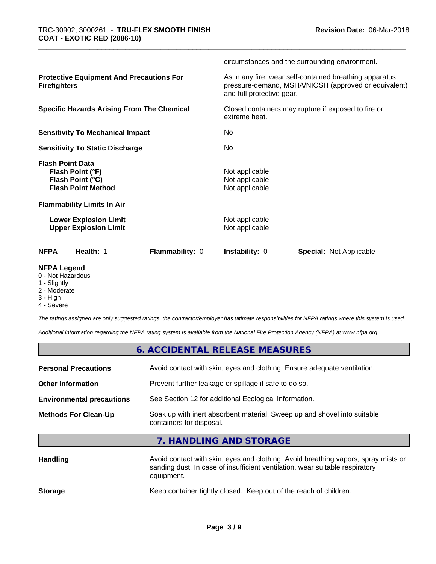|                                                                                              | circumstances and the surrounding environment.                                                                                               |
|----------------------------------------------------------------------------------------------|----------------------------------------------------------------------------------------------------------------------------------------------|
| <b>Protective Equipment And Precautions For</b><br><b>Firefighters</b>                       | As in any fire, wear self-contained breathing apparatus<br>pressure-demand, MSHA/NIOSH (approved or equivalent)<br>and full protective gear. |
| <b>Specific Hazards Arising From The Chemical</b>                                            | Closed containers may rupture if exposed to fire or<br>extreme heat.                                                                         |
| <b>Sensitivity To Mechanical Impact</b>                                                      | No                                                                                                                                           |
| <b>Sensitivity To Static Discharge</b>                                                       | No.                                                                                                                                          |
| <b>Flash Point Data</b><br>Flash Point (°F)<br>Flash Point (°C)<br><b>Flash Point Method</b> | Not applicable<br>Not applicable<br>Not applicable                                                                                           |
| <b>Flammability Limits In Air</b>                                                            |                                                                                                                                              |
| <b>Lower Explosion Limit</b><br><b>Upper Explosion Limit</b>                                 | Not applicable<br>Not applicable                                                                                                             |
| Flammability: 0<br><b>NFPA</b><br>Health: 1                                                  | <b>Instability: 0</b><br><b>Special: Not Applicable</b>                                                                                      |
| <b>NFPA Legend</b><br>0 - Not Hazardous                                                      |                                                                                                                                              |

- 
- 1 Slightly
- 2 Moderate
- 3 High
- 4 Severe

*The ratings assigned are only suggested ratings, the contractor/employer has ultimate responsibilities for NFPA ratings where this system is used.*

*Additional information regarding the NFPA rating system is available from the National Fire Protection Agency (NFPA) at www.nfpa.org.*

**Storage** Keep container tightly closed. Keep out of the reach of children.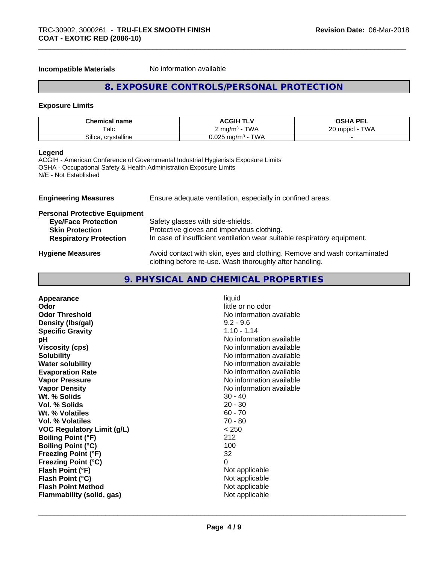**Incompatible Materials** No information available

# **8. EXPOSURE CONTROLS/PERSONAL PROTECTION**

#### **Exposure Limits**

| <b>Chemical name</b>  | <b>ACGIH TLV</b>                                 | <b>OSHA PEL</b><br>--                     |
|-----------------------|--------------------------------------------------|-------------------------------------------|
| Talc                  | TWA<br>` ma/m <sup>3</sup>                       | T111<br>nn.<br>mppct<br>VV <i>F</i><br>∠∪ |
| Silica<br>crystalline | $J.025 \text{ m}$ g/m <sup>3</sup><br><b>TWA</b> |                                           |

#### **Legend**

ACGIH - American Conference of Governmental Industrial Hygienists Exposure Limits OSHA - Occupational Safety & Health Administration Exposure Limits N/E - Not Established

| <b>Engineering Measures</b>          | Ensure adequate ventilation, especially in confined areas.                                                                          |
|--------------------------------------|-------------------------------------------------------------------------------------------------------------------------------------|
| <b>Personal Protective Equipment</b> |                                                                                                                                     |
| <b>Eye/Face Protection</b>           | Safety glasses with side-shields.                                                                                                   |
| <b>Skin Protection</b>               | Protective gloves and impervious clothing.                                                                                          |
| <b>Respiratory Protection</b>        | In case of insufficient ventilation wear suitable respiratory equipment.                                                            |
| <b>Hygiene Measures</b>              | Avoid contact with skin, eyes and clothing. Remove and wash contaminated<br>clothing before re-use. Wash thoroughly after handling. |

# **9. PHYSICAL AND CHEMICAL PROPERTIES**

| Appearance                        | liquid                   |
|-----------------------------------|--------------------------|
| Odor                              | little or no odor        |
| <b>Odor Threshold</b>             | No information available |
| Density (Ibs/gal)                 | $9.2 - 9.6$              |
| <b>Specific Gravity</b>           | $1.10 - 1.14$            |
| рH                                | No information available |
| <b>Viscosity (cps)</b>            | No information available |
| <b>Solubility</b>                 | No information available |
| <b>Water solubility</b>           | No information available |
| <b>Evaporation Rate</b>           | No information available |
| <b>Vapor Pressure</b>             | No information available |
| <b>Vapor Density</b>              | No information available |
| Wt. % Solids                      | $30 - 40$                |
| <b>Vol. % Solids</b>              | $20 - 30$                |
| Wt. % Volatiles                   | $60 - 70$                |
| <b>Vol. % Volatiles</b>           | $70 - 80$                |
| <b>VOC Regulatory Limit (g/L)</b> | < 250                    |
| <b>Boiling Point (°F)</b>         | 212                      |
| <b>Boiling Point (°C)</b>         | 100                      |
| <b>Freezing Point (°F)</b>        | 32                       |
| <b>Freezing Point (°C)</b>        | 0                        |
| Flash Point (°F)                  | Not applicable           |
| Flash Point (°C)                  | Not applicable           |
| <b>Flash Point Method</b>         | Not applicable           |
| <b>Flammability (solid, gas)</b>  | Not applicable           |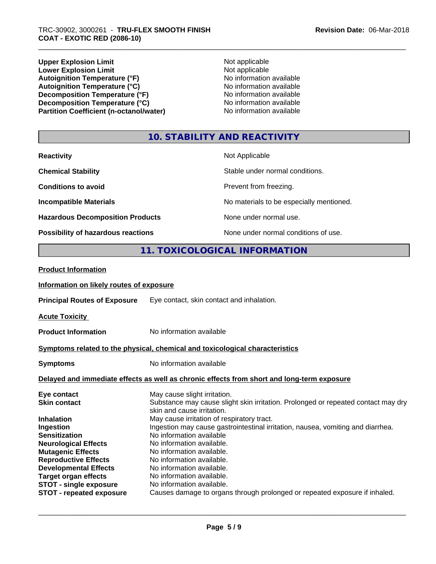**Upper Explosion Limit**<br> **Lower Explosion Limit**<br> **Lower Explosion Limit Lower Explosion Limit**<br> **Autoignition Temperature (°F)**<br> **Autoignition Temperature (°F)**<br> **Autoignition Temperature (°F)**<br> **Autoignition Temperature (°F)** Autoignition Temperature (°F)<br> **Autoignition Temperature (°C)**<br>
No information available Autoignition **Temperature** (°C) Mo information available<br>Decomposition **Temperature** (°F) No information available **Decomposition Temperature (°F)**<br> **Decomposition Temperature (°C)**<br>
No information available<br>
No information available **Decomposition Temperature (°C)**<br> **Partition Coefficient (n-octanol/water)** No information available **Partition Coefficient (n-octanol/water)** 

# **10. STABILITY AND REACTIVITY**

| <b>Reactivity</b>                       | Not Applicable                           |
|-----------------------------------------|------------------------------------------|
| <b>Chemical Stability</b>               | Stable under normal conditions.          |
| <b>Conditions to avoid</b>              | Prevent from freezing.                   |
| <b>Incompatible Materials</b>           | No materials to be especially mentioned. |
| <b>Hazardous Decomposition Products</b> | None under normal use.                   |
| Possibility of hazardous reactions      | None under normal conditions of use.     |

# **11. TOXICOLOGICAL INFORMATION**

| <b>Product Information</b>               |                                                                                                                 |
|------------------------------------------|-----------------------------------------------------------------------------------------------------------------|
| Information on likely routes of exposure |                                                                                                                 |
| <b>Principal Routes of Exposure</b>      | Eye contact, skin contact and inhalation.                                                                       |
| <b>Acute Toxicity</b>                    |                                                                                                                 |
| <b>Product Information</b>               | No information available                                                                                        |
|                                          | Symptoms related to the physical, chemical and toxicological characteristics                                    |
| <b>Symptoms</b>                          | No information available                                                                                        |
|                                          | Delayed and immediate effects as well as chronic effects from short and long-term exposure                      |
| Eye contact                              | May cause slight irritation.                                                                                    |
| <b>Skin contact</b>                      | Substance may cause slight skin irritation. Prolonged or repeated contact may dry<br>skin and cause irritation. |
| <b>Inhalation</b>                        | May cause irritation of respiratory tract.                                                                      |
| Ingestion                                | Ingestion may cause gastrointestinal irritation, nausea, vomiting and diarrhea.                                 |
| <b>Sensitization</b>                     | No information available                                                                                        |
| <b>Neurological Effects</b>              | No information available.                                                                                       |
| <b>Mutagenic Effects</b>                 | No information available.                                                                                       |
| <b>Reproductive Effects</b>              | No information available.                                                                                       |
| <b>Developmental Effects</b>             | No information available.                                                                                       |
| <b>Target organ effects</b>              | No information available.                                                                                       |
| <b>STOT - single exposure</b>            | No information available.                                                                                       |
| <b>STOT - repeated exposure</b>          | Causes damage to organs through prolonged or repeated exposure if inhaled.                                      |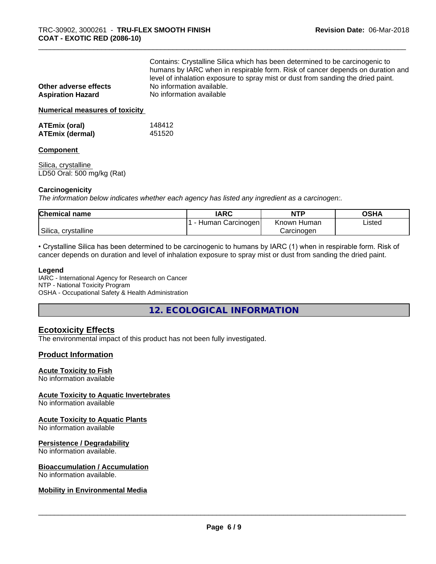| Other adverse effects<br><b>Aspiration Hazard</b> | Contains: Crystalline Silica which has been determined to be carcinogenic to<br>humans by IARC when in respirable form. Risk of cancer depends on duration and<br>level of inhalation exposure to spray mist or dust from sanding the dried paint.<br>No information available.<br>No information available |
|---------------------------------------------------|-------------------------------------------------------------------------------------------------------------------------------------------------------------------------------------------------------------------------------------------------------------------------------------------------------------|
| <b>Numerical measures of toxicity</b>             |                                                                                                                                                                                                                                                                                                             |

| <b>ATEmix (oral)</b> | 148412 |
|----------------------|--------|
| ATEmix (dermal)      | 451520 |

#### **Component**

Silica, crystalline LD50 Oral: 500 mg/kg (Rat)

#### **Carcinogenicity**

*The information below indicateswhether each agency has listed any ingredient as a carcinogen:.*

| <b>Chemical name</b>   | <b>IARC</b>         | <b>NTP</b>     | <b>OSHA</b> |
|------------------------|---------------------|----------------|-------------|
|                        | Carcinogen<br>Human | Known<br>Human | Listed      |
| Silica,<br>crystalline |                     | Carcinogen     |             |

• Crystalline Silica has been determined to be carcinogenic to humans by IARC (1) when in respirable form. Risk of cancer depends on duration and level of inhalation exposure to spray mist or dust from sanding the dried paint.

#### **Legend**

IARC - International Agency for Research on Cancer NTP - National Toxicity Program OSHA - Occupational Safety & Health Administration

**12. ECOLOGICAL INFORMATION**

# **Ecotoxicity Effects**

The environmental impact of this product has not been fully investigated.

### **Product Information**

#### **Acute Toxicity to Fish**

No information available

# **Acute Toxicity to Aquatic Invertebrates**

No information available

#### **Acute Toxicity to Aquatic Plants**

No information available

#### **Persistence / Degradability**

No information available.

#### **Bioaccumulation / Accumulation**

No information available.

#### **Mobility in Environmental Media**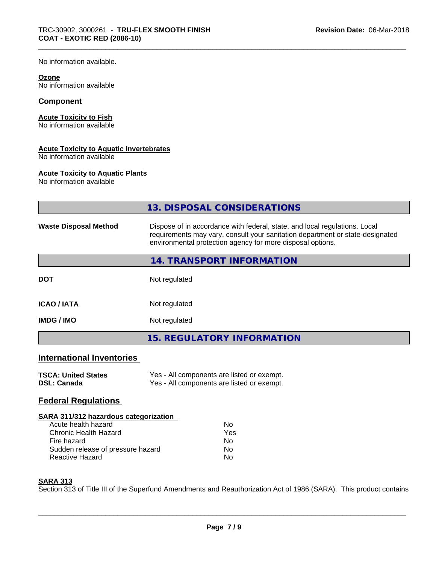No information available.

#### **Ozone**

No information available

### **Component**

#### **Acute Toxicity to Fish**

No information available

#### **Acute Toxicity to Aquatic Invertebrates**

No information available

#### **Acute Toxicity to Aquatic Plants**

No information available

|                                                  | 13. DISPOSAL CONSIDERATIONS                                                                                                                                                                                               |  |  |  |
|--------------------------------------------------|---------------------------------------------------------------------------------------------------------------------------------------------------------------------------------------------------------------------------|--|--|--|
| <b>Waste Disposal Method</b>                     | Dispose of in accordance with federal, state, and local regulations. Local<br>requirements may vary, consult your sanitation department or state-designated<br>environmental protection agency for more disposal options. |  |  |  |
|                                                  | 14. TRANSPORT INFORMATION                                                                                                                                                                                                 |  |  |  |
| <b>DOT</b>                                       | Not regulated                                                                                                                                                                                                             |  |  |  |
| <b>ICAO / IATA</b>                               | Not regulated                                                                                                                                                                                                             |  |  |  |
| <b>IMDG / IMO</b>                                | Not regulated                                                                                                                                                                                                             |  |  |  |
|                                                  | <b>15. REGULATORY INFORMATION</b>                                                                                                                                                                                         |  |  |  |
| <b>International Inventories</b>                 |                                                                                                                                                                                                                           |  |  |  |
| <b>TSCA: United States</b><br><b>DSL: Canada</b> | Yes - All components are listed or exempt.<br>Yes - All components are listed or exempt.                                                                                                                                  |  |  |  |
| <b>Federal Regulations</b>                       |                                                                                                                                                                                                                           |  |  |  |
| SARA 311/312 hazardous categorization            |                                                                                                                                                                                                                           |  |  |  |
| Acute health hazard                              | No                                                                                                                                                                                                                        |  |  |  |
| <b>Chronic Health Hazard</b>                     | Yes                                                                                                                                                                                                                       |  |  |  |
| Fire hazard                                      | N <sub>o</sub>                                                                                                                                                                                                            |  |  |  |
| Sudden release of pressure hazard                | No                                                                                                                                                                                                                        |  |  |  |
| <b>Reactive Hazard</b>                           | No                                                                                                                                                                                                                        |  |  |  |
| <b>SARA 313</b>                                  |                                                                                                                                                                                                                           |  |  |  |

Section 313 of Title III of the Superfund Amendments and Reauthorization Act of 1986 (SARA). This product contains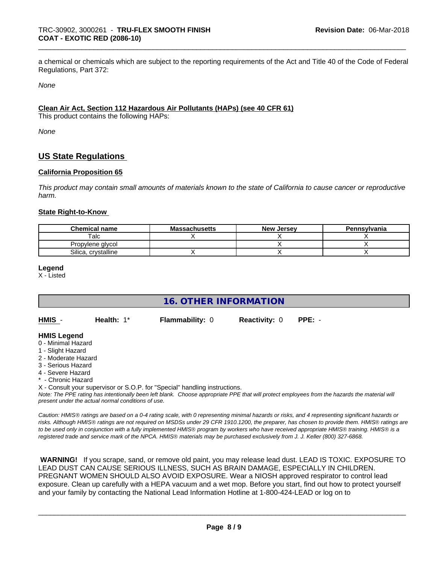a chemical or chemicals which are subject to the reporting requirements of the Act and Title 40 of the Code of Federal Regulations, Part 372:

*None*

#### **Clean Air Act,Section 112 Hazardous Air Pollutants (HAPs) (see 40 CFR 61)**

This product contains the following HAPs:

*None*

# **US State Regulations**

#### **California Proposition 65**

This product may contain small amounts of materials known to the state of California to cause cancer or reproductive *harm.*

#### **State Right-to-Know**

| <b>Chemical name</b>   | <b>Massachusetts</b> | <b>New Jersey</b> | Pennsylvania |
|------------------------|----------------------|-------------------|--------------|
| $\mathsf{^{T}alc}$ .   |                      |                   |              |
| Propylene alvcol       |                      |                   |              |
| Silica.<br>crystalline |                      |                   |              |

#### **Legend**

X - Listed

# **16. OTHER INFORMATION**

| HMIS | Health: 1* | <b>Flammability: 0</b> | <b>Reactivity: 0 PPE: -</b> |  |
|------|------------|------------------------|-----------------------------|--|
|      |            |                        |                             |  |

#### **HMIS Legend**

- 0 Minimal Hazard
- 1 Slight Hazard
- 2 Moderate Hazard
- 3 Serious Hazard
- 4 Severe Hazard
- Chronic Hazard

X - Consult your supervisor or S.O.P. for "Special" handling instructions.

*Note: The PPE rating has intentionally been left blank. Choose appropriate PPE that will protect employees from the hazards the material will present under the actual normal conditions of use.*

*Caution: HMISÒ ratings are based on a 0-4 rating scale, with 0 representing minimal hazards or risks, and 4 representing significant hazards or risks. Although HMISÒ ratings are not required on MSDSs under 29 CFR 1910.1200, the preparer, has chosen to provide them. HMISÒ ratings are to be used only in conjunction with a fully implemented HMISÒ program by workers who have received appropriate HMISÒ training. HMISÒ is a registered trade and service mark of the NPCA. HMISÒ materials may be purchased exclusively from J. J. Keller (800) 327-6868.*

 **WARNING!** If you scrape, sand, or remove old paint, you may release lead dust. LEAD IS TOXIC. EXPOSURE TO LEAD DUST CAN CAUSE SERIOUS ILLNESS, SUCH AS BRAIN DAMAGE, ESPECIALLY IN CHILDREN. PREGNANT WOMEN SHOULD ALSO AVOID EXPOSURE.Wear a NIOSH approved respirator to control lead exposure. Clean up carefully with a HEPA vacuum and a wet mop. Before you start, find out how to protect yourself and your family by contacting the National Lead Information Hotline at 1-800-424-LEAD or log on to